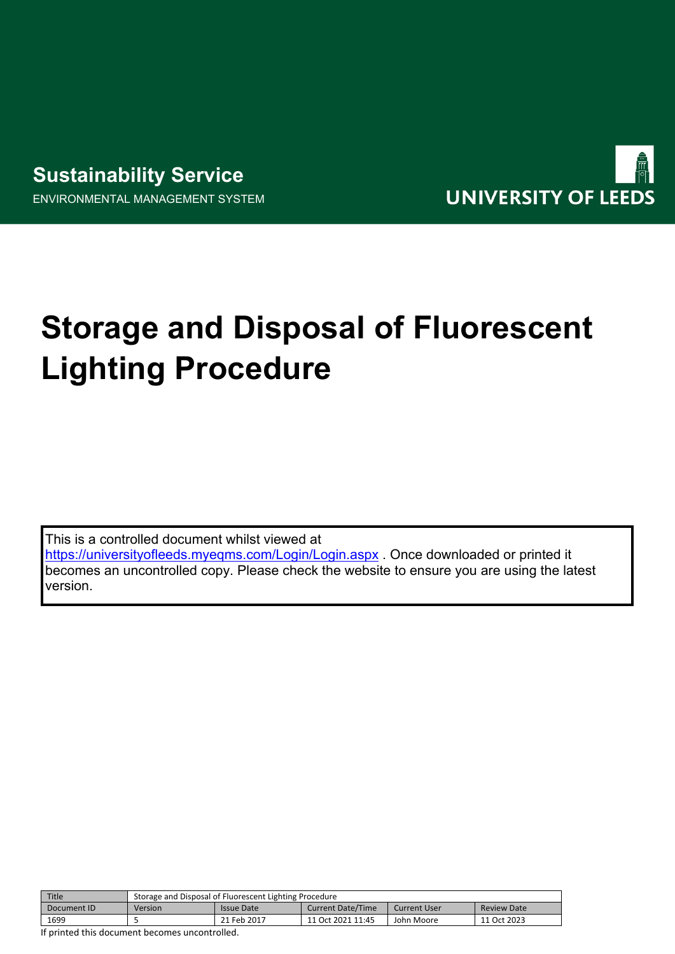## **Sustainability Service** ENVIRONMENTAL MANAGEMENT SYSTEM



# **Storage and Disposal of Fluorescent Lighting Procedure**

This is a controlled document whilst viewed at <https://universityofleeds.myeqms.com/Login/Login.aspx> . Once downloaded or printed it becomes an uncontrolled copy. Please check the website to ensure you are using the latest version.

| Title       | Storage and Disposal of Fluorescent Lighting Procedure |             |                          |              |                    |  |  |
|-------------|--------------------------------------------------------|-------------|--------------------------|--------------|--------------------|--|--|
| Document ID | Version                                                | Issue Date  | <b>Current Date/Time</b> | Current User | <b>Review Date</b> |  |  |
| 1699        |                                                        | 21 Feb 2017 | 11 Oct 2021 11:45        | John Moore   | 11 Oct 2023        |  |  |
| .           |                                                        |             |                          |              |                    |  |  |

If printed this document becomes uncontrolled.